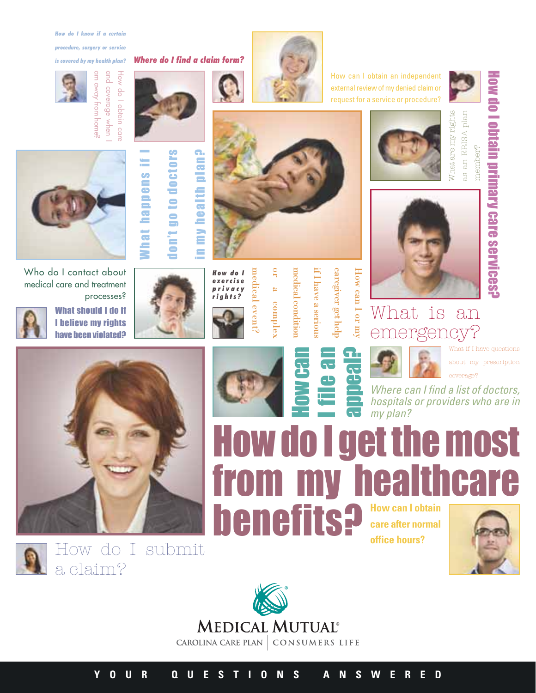*How do I know if a certain* 

*procedure, surgery or service* 

*is covered by my health plan? Where do I find a claim form?*

qnd











don't go to doctors don't go to doctors What happens if I



**Mhat happens** 

in my health plan?

medical event? *How do I* medical event *exercise privacy rights?*

or a complex complex

g

medical condition if I have a serious if I have a serious medical condition

caregiver get help caregiver get help

How can I or my How can I or my



How can I obtain an independent external review of my denied claim or request for a service or procedure?







How do I obtain primary care services?

How do I obtain primary care services?



#### What is an emergency

What if I have questions about my prescription coverage?

Where can I find a list of doctors, hospitals or providers who are in my plan?

from my healthcare **henefits? How can I obtain care after normal office hours?**









processes?



a claim?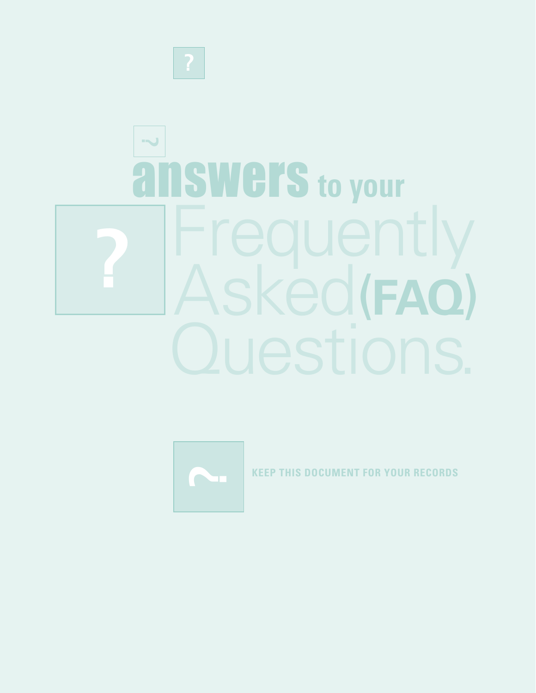

## answers **to your** Frequently Asked (**FAQ**) **?**



**DOCUMENT FOR YOUR RECORDS**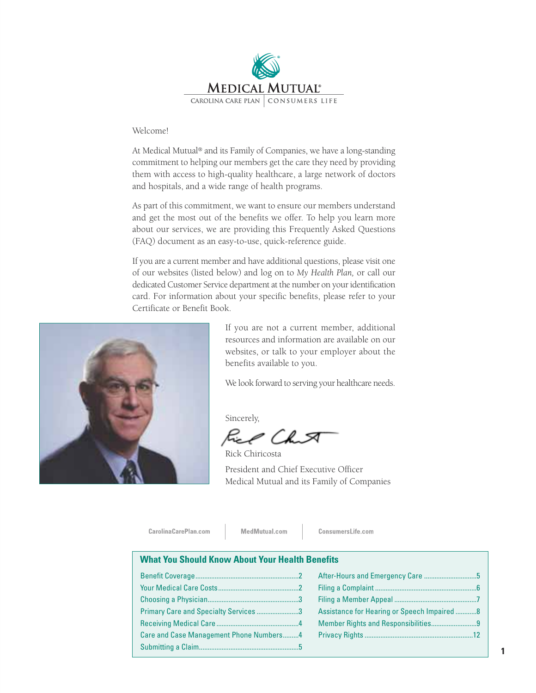

#### Welcome!

At Medical Mutual® and its Family of Companies, we have a long-standing commitment to helping our members get the care they need by providing them with access to high-quality healthcare, a large network of doctors and hospitals, and a wide range of health programs.

As part of this commitment, we want to ensure our members understand and get the most out of the benefits we offer. To help you learn more about our services, we are providing this Frequently Asked Questions (FAQ) document as an easy-to-use, quick-reference guide.

If you are a current member and have additional questions, please visit one of our websites (listed below) and log on to *My Health Plan,* or call our dedicated Customer Service department at the number on your identification card. For information about your specific benefits, please refer to your Certificate or Benefit Book.



If you are not a current member, additional resources and information are available on our websites, or talk to your employer about the benefits available to you.

We look forward to serving your healthcare needs.

Sincerely,

Æ. Ch A

Rick Chiricosta President and Chief Executive Officer Medical Mutual and its Family of Companies

CarolinaCarePlan.com

MedMutual.com

ConsumersLife.com

#### **What You Should Know About Your Health Benefits**

| Primary Care and Specialty Services 3   |  |
|-----------------------------------------|--|
|                                         |  |
| Care and Case Management Phone Numbers4 |  |
|                                         |  |
|                                         |  |

| Assistance for Hearing or Speech Impaired  8 |  |
|----------------------------------------------|--|
|                                              |  |
|                                              |  |
|                                              |  |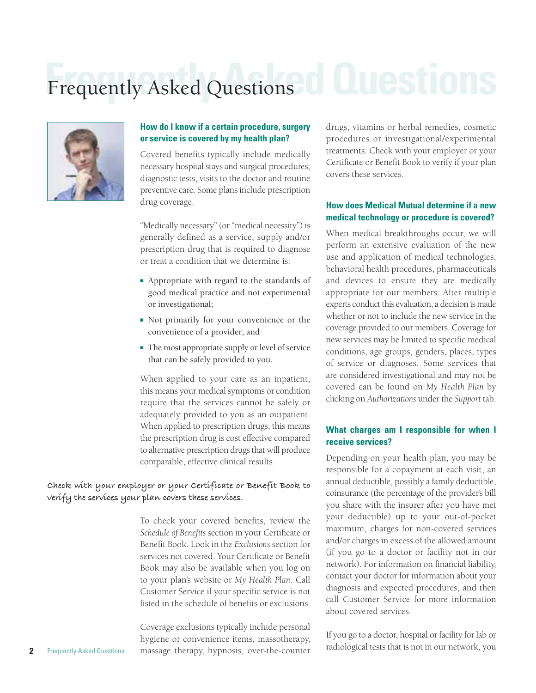### Frequently Asked Questions<sup>1</sup> **LUESTO**



#### **How do I know if a certain procedure, surgery or service is covered by my health plan?**

Covered benefits typically include medically necessary hospital stays and surgical procedures, diagnostic tests, visits to the doctor and routine preventive care. Some plans include prescription drug coverage.

"Medically necessary" (or "medical necessity") is generally defined as a service, supply and/or prescription drug that is required to diagnose or treat a condition that we determine is:

- Appropriate with regard to the standards of good medical practice and not experimental or investigational;
- Not primarily for your convenience or the convenience of a provider; and
- The most appropriate supply or level of service that can be safely provided to you.

When applied to your care as an inpatient, this means your medical symptoms or condition require that the services cannot be safely or adequately provided to you as an outpatient. When applied to prescription drugs, this means the prescription drug is cost effective compared to alternative prescription drugs that will produce comparable, effective clinical results.

#### **Check with your employer or your Certificate or Benefit Book to verify the services your plan covers these services.**

To check your covered benefits, review the *Schedule of Benefits* section in your Certificate or Benefit Book. Look in the *Exclusions* section for services not covered. Your Certificate or Benefit Book may also be available when you log on to your plan's website or *My Health Plan*. Call Customer Service if your specific service is not listed in the schedule of benefits or exclusions.

Coverage exclusions typically include personal hygiene or convenience items, massotherapy, massage therapy, hypnosis, over-the-counter

drugs, vitamins or herbal remedies, cosmetic procedures or investigational/experimental treatments. Check with your employer or your Certificate or Benefit Book to verify if your plan covers these services.

#### **How does Medical Mutual determine if a new medical technology or procedure is covered?**

When medical breakthroughs occur, we will perform an extensive evaluation of the new use and application of medical technologies, behavioral health procedures, pharmaceuticals and devices to ensure they are medically appropriate for our members. After multiple experts conduct this evaluation, a decision is made whether or not to include the new service in the coverage provided to our members. Coverage for new services may be limited to specific medical conditions, age groups, genders, places, types of service or diagnoses. Some services that are considered investigational and may not be covered can be found on *My Health Plan* by clicking on *Authorizations* under the *Support* tab.

#### **What charges am I responsible for when I receive services?**

Depending on your health plan, you may be responsible for a copayment at each visit, an annual deductible, possibly a family deductible, coinsurance (the percentage of the provider's bill you share with the insurer after you have met your deductible) up to your out-of-pocket maximum, charges for non-covered services and/or charges in excess of the allowed amount (if you go to a doctor or facility not in our network). For information on financial liability, contact your doctor for information about your diagnosis and expected procedures, and then call Customer Service for more information about covered services.

If you go to a doctor, hospital or facility for lab or radiological tests that is not in our network, you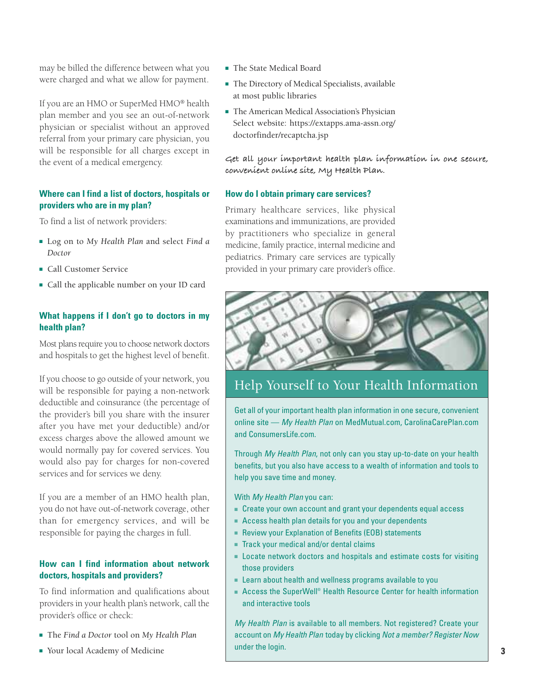may be billed the difference between what you were charged and what we allow for payment.

If you are an HMO or SuperMed HMO® health plan member and you see an out-of-network physician or specialist without an approved referral from your primary care physician, you will be responsible for all charges except in the event of a medical emergency.

#### **Where can I find a list of doctors, hospitals or providers who are in my plan?**

To find a list of network providers:

- Log on to *My Health Plan* and select *Find a Doctor*
- Call Customer Service
- Call the applicable number on your ID card

#### **What happens if I don't go to doctors in my health plan?**

Most plans require you to choose network doctors and hospitals to get the highest level of benefit.

If you choose to go outside of your network, you will be responsible for paying a non-network deductible and coinsurance (the percentage of the provider's bill you share with the insurer after you have met your deductible) and/or excess charges above the allowed amount we would normally pay for covered services. You would also pay for charges for non-covered services and for services we deny.

If you are a member of an HMO health plan, you do not have out-of-network coverage, other than for emergency services, and will be responsible for paying the charges in full.

#### **How can I find information about network doctors, hospitals and providers?**

To find information and qualifications about providers in your health plan's network, call the provider's office or check:

- The *Find a Doctor* tool on *My Health Plan*
- Your local Academy of Medicine
- The State Medical Board
- The Directory of Medical Specialists, available at most public libraries
- The American Medical Association's Physician Select website: https://extapps.ama-assn.org/ doctorfinder/recaptcha.jsp

**Get all your important health plan information in one secure, convenient online site, My Health Plan.**

#### **How do I obtain primary care services?**

Primary healthcare services, like physical examinations and immunizations, are provided by practitioners who specialize in general medicine, family practice, internal medicine and pediatrics. Primary care services are typically provided in your primary care provider's office.



#### Help Yourself to Your Health Information

Get all of your important health plan information in one secure, convenient online site - My Health Plan on MedMutual.com, CarolinaCarePlan.com and ConsumersLife.com.

Through My Health Plan, not only can you stay up-to-date on your health benefits, but you also have access to a wealth of information and tools to help you save time and money.

With My Health Plan you can:

- Create your own account and grant your dependents equal access
- Access health plan details for you and your dependents
- Review your Explanation of Benefits (EOB) statements
- Track your medical and/or dental claims
- Locate network doctors and hospitals and estimate costs for visiting those providers
- Learn about health and wellness programs available to you
- Access the SuperWell® Health Resource Center for health information and interactive tools

My Health Plan is available to all members. Not registered? Create your account on My Health Plan today by clicking Not a member? Register Now under the login.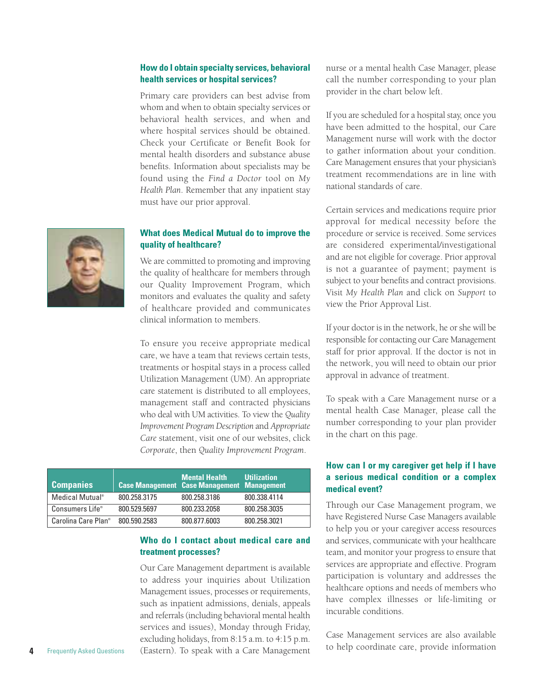#### **How do I obtain specialty services, behavioral health services or hospital services?**

Primary care providers can best advise from whom and when to obtain specialty services or behavioral health services, and when and where hospital services should be obtained. Check your Certificate or Benefit Book for mental health disorders and substance abuse benefits. Information about specialists may be found using the *Find a Doctor* tool on *My Health Plan*. Remember that any inpatient stay must have our prior approval.

#### **What does Medical Mutual do to improve the quality of healthcare?**

We are committed to promoting and improving the quality of healthcare for members through our Quality Improvement Program, which monitors and evaluates the quality and safety of healthcare provided and communicates clinical information to members.

To ensure you receive appropriate medical care, we have a team that reviews certain tests, treatments or hospital stays in a process called Utilization Management (UM). An appropriate care statement is distributed to all employees, management staff and contracted physicians who deal with UM activities. To view the *Quality Improvement Program Description* and *Appropriate Care* statement, visit one of our websites, click *Corporate*, then *Quality Improvement Program*.

| <b>Companies</b>                |              | <b>Mental Health</b><br><b>Case Management Case Management Management</b> | <b>Utilization</b> |
|---------------------------------|--------------|---------------------------------------------------------------------------|--------------------|
| Medical Mutual <sup>®</sup>     | 800.258.3175 | 800.258.3186                                                              | 800.338.4114       |
| Consumers Life®                 | 800.529.5697 | 800.233.2058                                                              | 800.258.3035       |
| Carolina Care Plan <sup>®</sup> | 800.590.2583 | 800.877.6003                                                              | 800.258.3021       |

#### **Who do I contact about medical care and treatment processes?**

Our Care Management department is available to address your inquiries about Utilization Management issues, processes or requirements, such as inpatient admissions, denials, appeals and referrals (including behavioral mental health services and issues), Monday through Friday, excluding holidays, from 8:15 a.m. to 4:15 p.m. (Eastern). To speak with a Care Management

nurse or a mental health Case Manager, please call the number corresponding to your plan provider in the chart below left.

If you are scheduled for a hospital stay, once you have been admitted to the hospital, our Care Management nurse will work with the doctor to gather information about your condition. Care Management ensures that your physician's treatment recommendations are in line with national standards of care.

Certain services and medications require prior approval for medical necessity before the procedure or service is received. Some services are considered experimental/investigational and are not eligible for coverage. Prior approval is not a guarantee of payment; payment is subject to your benefits and contract provisions. Visit *My Health Plan* and click on *Support* to view the Prior Approval List.

If your doctor is in the network, he or she will be responsible for contacting our Care Management staff for prior approval. If the doctor is not in the network, you will need to obtain our prior approval in advance of treatment.

To speak with a Care Management nurse or a mental health Case Manager, please call the number corresponding to your plan provider in the chart on this page.

#### **How can I or my caregiver get help if I have a serious medical condition or a complex medical event?**

Through our Case Management program, we have Registered Nurse Case Managers available to help you or your caregiver access resources and services, communicate with your healthcare team, and monitor your progress to ensure that services are appropriate and effective. Program participation is voluntary and addresses the healthcare options and needs of members who have complex illnesses or life-limiting or incurable conditions.

Case Management services are also available to help coordinate care, provide information

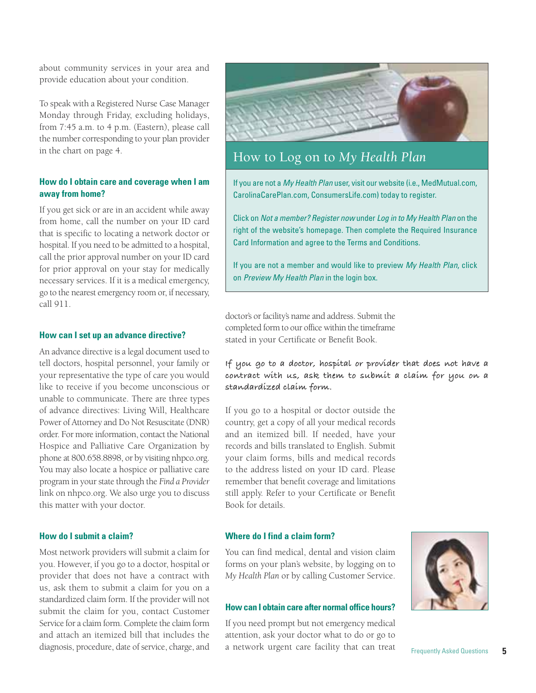about community services in your area and provide education about your condition.

To speak with a Registered Nurse Case Manager Monday through Friday, excluding holidays, from 7:45 a.m. to 4 p.m. (Eastern), please call the number corresponding to your plan provider in the chart on page 4.

#### **How do I obtain care and coverage when I am away from home?**

If you get sick or are in an accident while away from home, call the number on your ID card that is specific to locating a network doctor or hospital. If you need to be admitted to a hospital, call the prior approval number on your ID card for prior approval on your stay for medically necessary services. If it is a medical emergency, go to the nearest emergency room or, if necessary, call 911.

#### **How can I set up an advance directive?**

An advance directive is a legal document used to tell doctors, hospital personnel, your family or your representative the type of care you would like to receive if you become unconscious or unable to communicate. There are three types of advance directives: Living Will, Healthcare Power of Attorney and Do Not Resuscitate (DNR) order. For more information, contact the National Hospice and Palliative Care Organization by phone at 800.658.8898, or by visiting nhpco.org. You may also locate a hospice or palliative care program in your state through the *Find a Provider* link on nhpco.org. We also urge you to discuss this matter with your doctor.

#### **How do I submit a claim?**

Most network providers will submit a claim for you. However, if you go to a doctor, hospital or provider that does not have a contract with us, ask them to submit a claim for you on a standardized claim form. If the provider will not submit the claim for you, contact Customer Service for a claim form. Complete the claim form and attach an itemized bill that includes the diagnosis, procedure, date of service, charge, and



#### How to Log on to *My Health Plan*

If you are not a My Health Plan user, visit our website (i.e., MedMutual.com, CarolinaCarePlan.com, ConsumersLife.com) today to register.

Click on Not a member? Register now under Log in to My Health Plan on the right of the website's homepage. Then complete the Required Insurance Card Information and agree to the Terms and Conditions.

If you are not a member and would like to preview My Health Plan, click on Preview My Health Plan in the login box.

doctor's or facility's name and address. Submit the completed form to our office within the timeframe stated in your Certificate or Benefit Book.

**If you go to a doctor, hospital or provider that does not have a contract with us, ask them to submit a claim for you on a standardized claim form.**

If you go to a hospital or doctor outside the country, get a copy of all your medical records and an itemized bill. If needed, have your records and bills translated to English. Submit your claim forms, bills and medical records to the address listed on your ID card. Please remember that benefit coverage and limitations still apply. Refer to your Certificate or Benefit Book for details.

#### **Where do I find a claim form?**

You can find medical, dental and vision claim forms on your plan's website, by logging on to *My Health Plan* or by calling Customer Service.

#### **How can I obtain care after normal office hours?**

If you need prompt but not emergency medical attention, ask your doctor what to do or go to a network urgent care facility that can treat

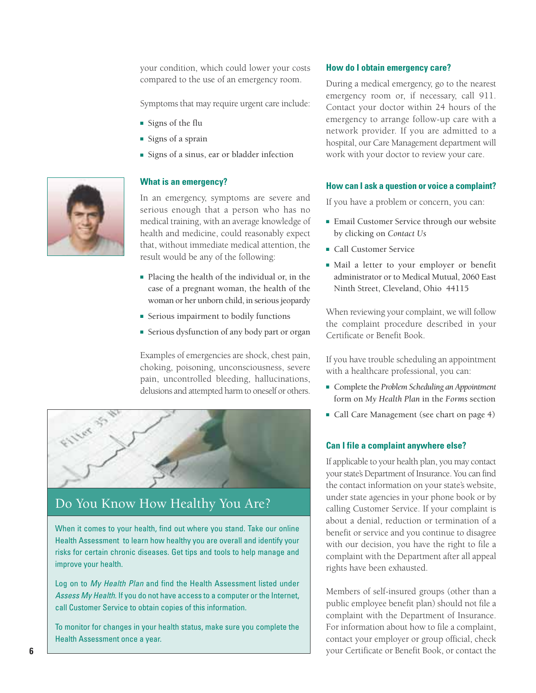your condition, which could lower your costs compared to the use of an emergency room.

Symptoms that may require urgent care include:

- Signs of the flu
- Signs of a sprain
- Signs of a sinus, ear or bladder infection

#### **What is an emergency?**

In an emergency, symptoms are severe and serious enough that a person who has no medical training, with an average knowledge of health and medicine, could reasonably expect that, without immediate medical attention, the result would be any of the following:

- Placing the health of the individual or, in the case of a pregnant woman, the health of the woman or her unborn child, in serious jeopardy
- Serious impairment to bodily functions
- Serious dysfunction of any body part or organ

Examples of emergencies are shock, chest pain, choking, poisoning, unconsciousness, severe pain, uncontrolled bleeding, hallucinations, delusions and attempted harm to oneself or others.



#### Do You Know How Healthy You Are?

When it comes to your health, find out where you stand. Take our online Health Assessment to learn how healthy you are overall and identify your risks for certain chronic diseases. Get tips and tools to help manage and improve your health.

Log on to My Health Plan and find the Health Assessment listed under Assess My Health. If you do not have access to a computer or the Internet, call Customer Service to obtain copies of this information.

To monitor for changes in your health status, make sure you complete the Health Assessment once a year.

#### **How do I obtain emergency care?**

During a medical emergency, go to the nearest emergency room or, if necessary, call 911. Contact your doctor within 24 hours of the emergency to arrange follow-up care with a network provider. If you are admitted to a hospital, our Care Management department will work with your doctor to review your care.

#### **How can I ask a question or voice a complaint?**

If you have a problem or concern, you can:

- Email Customer Service through our website by clicking on *Contact Us*
- Call Customer Service
- Mail a letter to your employer or benefit administrator or to Medical Mutual, 2060 East Ninth Street, Cleveland, Ohio 44115

When reviewing your complaint, we will follow the complaint procedure described in your Certificate or Benefit Book.

If you have trouble scheduling an appointment with a healthcare professional, you can:

- Complete the *Problem Scheduling an Appointment* form on *My Health Plan* in the *Forms* section
- Call Care Management (see chart on page 4)

#### **Can I file a complaint anywhere else?**

If applicable to your health plan, you may contact your state's Department of Insurance. You can find the contact information on your state's website, under state agencies in your phone book or by calling Customer Service. If your complaint is about a denial, reduction or termination of a benefit or service and you continue to disagree with our decision, you have the right to file a complaint with the Department after all appeal rights have been exhausted.

Members of self-insured groups (other than a public employee benefit plan) should not file a complaint with the Department of Insurance. For information about how to file a complaint, contact your employer or group official, check your Certificate or Benefit Book, or contact the

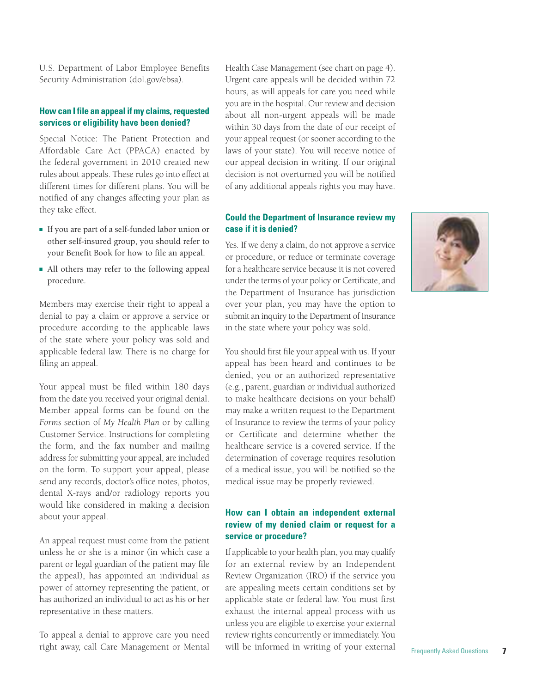U.S. Department of Labor Employee Benefits Security Administration (dol.gov/ebsa).

#### **How can I file an appeal if my claims, requested services or eligibility have been denied?**

Special Notice: The Patient Protection and Affordable Care Act (PPACA) enacted by the federal government in 2010 created new rules about appeals. These rules go into effect at different times for different plans. You will be notified of any changes affecting your plan as they take effect.

- If you are part of a self-funded labor union or other self-insured group, you should refer to your Benefit Book for how to file an appeal.
- All others may refer to the following appeal procedure.

Members may exercise their right to appeal a denial to pay a claim or approve a service or procedure according to the applicable laws of the state where your policy was sold and applicable federal law. There is no charge for filing an appeal.

Your appeal must be filed within 180 days from the date you received your original denial. Member appeal forms can be found on the *Forms* section of *My Health Plan* or by calling Customer Service. Instructions for completing the form, and the fax number and mailing address for submitting your appeal, are included on the form. To support your appeal, please send any records, doctor's office notes, photos, dental X-rays and/or radiology reports you would like considered in making a decision about your appeal.

An appeal request must come from the patient unless he or she is a minor (in which case a parent or legal guardian of the patient may file the appeal), has appointed an individual as power of attorney representing the patient, or has authorized an individual to act as his or her representative in these matters.

To appeal a denial to approve care you need right away, call Care Management or Mental Health Case Management (see chart on page 4). Urgent care appeals will be decided within 72 hours, as will appeals for care you need while you are in the hospital. Our review and decision about all non-urgent appeals will be made within 30 days from the date of our receipt of your appeal request (or sooner according to the laws of your state). You will receive notice of our appeal decision in writing. If our original decision is not overturned you will be notified of any additional appeals rights you may have.

#### **Could the Department of Insurance review my case if it is denied?**

Yes. If we deny a claim, do not approve a service or procedure, or reduce or terminate coverage for a healthcare service because it is not covered under the terms of your policy or Certificate, and the Department of Insurance has jurisdiction over your plan, you may have the option to submit an inquiry to the Department of Insurance in the state where your policy was sold.

You should first file your appeal with us. If your appeal has been heard and continues to be denied, you or an authorized representative (e.g., parent, guardian or individual authorized to make healthcare decisions on your behalf) may make a written request to the Department of Insurance to review the terms of your policy or Certificate and determine whether the healthcare service is a covered service. If the determination of coverage requires resolution of a medical issue, you will be notified so the medical issue may be properly reviewed.

#### **How can I obtain an independent external review of my denied claim or request for a service or procedure?**

If applicable to your health plan, you may qualify for an external review by an Independent Review Organization (IRO) if the service you are appealing meets certain conditions set by applicable state or federal law. You must first exhaust the internal appeal process with us unless you are eligible to exercise your external review rights concurrently or immediately. You will be informed in writing of your external Frequently Asked Questions 7

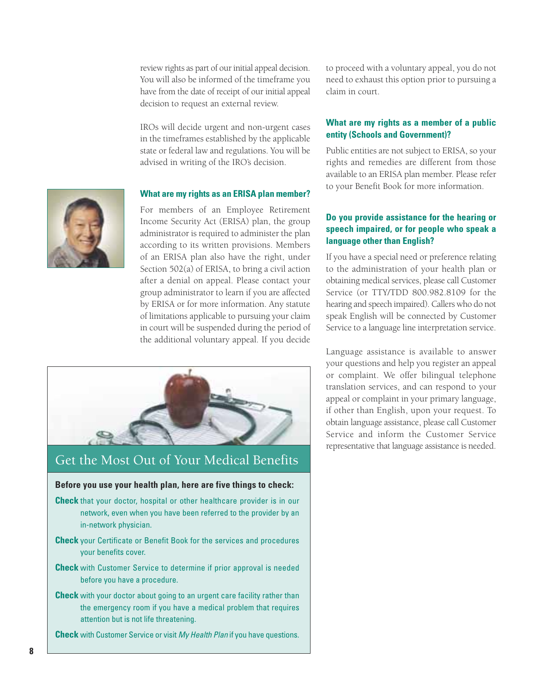review rights as part of our initial appeal decision. You will also be informed of the timeframe you have from the date of receipt of our initial appeal decision to request an external review.

IROs will decide urgent and non-urgent cases in the timeframes established by the applicable state or federal law and regulations. You will be advised in writing of the IRO's decision.

#### **What are my rights as an ERISA plan member?**

For members of an Employee Retirement Income Security Act (ERISA) plan, the group administrator is required to administer the plan according to its written provisions. Members of an ERISA plan also have the right, under Section 502(a) of ERISA, to bring a civil action after a denial on appeal. Please contact your group administrator to learn if you are affected by ERISA or for more information. Any statute of limitations applicable to pursuing your claim in court will be suspended during the period of the additional voluntary appeal. If you decide



#### Get the Most Out of Your Medical Benefits

#### **Before you use your health plan, here are five things to check:**

- **Check** that your doctor, hospital or other healthcare provider is in our network, even when you have been referred to the provider by an in-network physician.
- **Check** your Certificate or Benefit Book for the services and procedures your benefits cover.
- **Check** with Customer Service to determine if prior approval is needed before you have a procedure.
- **Check** with your doctor about going to an urgent care facility rather than the emergency room if you have a medical problem that requires attention but is not life threatening.

**Check** with Customer Service or visit My Health Plan if you have questions.

to proceed with a voluntary appeal, you do not need to exhaust this option prior to pursuing a claim in court.

#### **What are my rights as a member of a public entity (Schools and Government)?**

Public entities are not subject to ERISA, so your rights and remedies are different from those available to an ERISA plan member. Please refer to your Benefit Book for more information.

#### **Do you provide assistance for the hearing or speech impaired, or for people who speak a language other than English?**

If you have a special need or preference relating to the administration of your health plan or obtaining medical services, please call Customer Service (or TTY/TDD 800.982.8109 for the hearing and speech impaired). Callers who do not speak English will be connected by Customer Service to a language line interpretation service.

Language assistance is available to answer your questions and help you register an appeal or complaint. We offer bilingual telephone translation services, and can respond to your appeal or complaint in your primary language, if other than English, upon your request. To obtain language assistance, please call Customer Service and inform the Customer Service representative that language assistance is needed.

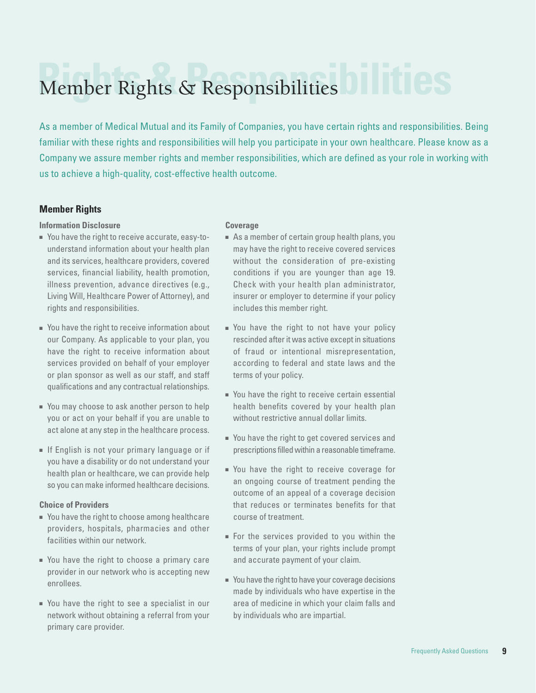### **Rights & Responsibilities** Member Rights & Responsibilities

As a member of Medical Mutual and its Family of Companies, you have certain rights and responsibilities. Being familiar with these rights and responsibilities will help you participate in your own healthcare. Please know as a Company we assure member rights and member responsibilities, which are defined as your role in working with us to achieve a high-quality, cost-effective health outcome.

#### **Member Rights**

#### **Information Disclosure**

- You have the right to receive accurate, easy-tounderstand information about your health plan and its services, healthcare providers, covered services, financial liability, health promotion, illness prevention, advance directives (e.g., Living Will, Healthcare Power of Attorney), and rights and responsibilities.
- You have the right to receive information about our Company. As applicable to your plan, you have the right to receive information about services provided on behalf of your employer or plan sponsor as well as our staff, and staff qualifications and any contractual relationships.
- You may choose to ask another person to help you or act on your behalf if you are unable to act alone at any step in the healthcare process.
- If English is not your primary language or if you have a disability or do not understand your health plan or healthcare, we can provide help so you can make informed healthcare decisions.

#### **Choice of Providers**

- You have the right to choose among healthcare providers, hospitals, pharmacies and other facilities within our network.
- You have the right to choose a primary care provider in our network who is accepting new enrollees.
- You have the right to see a specialist in our network without obtaining a referral from your primary care provider.

#### **Coverage**

- As a member of certain group health plans, you may have the right to receive covered services without the consideration of pre-existing conditions if you are younger than age 19. Check with your health plan administrator, insurer or employer to determine if your policy includes this member right.
- You have the right to not have your policy rescinded after it was active except in situations of fraud or intentional misrepresentation, according to federal and state laws and the terms of your policy.
- You have the right to receive certain essential health benefits covered by your health plan without restrictive annual dollar limits.
- You have the right to get covered services and prescriptions filled within a reasonable timeframe.
- You have the right to receive coverage for an ongoing course of treatment pending the outcome of an appeal of a coverage decision that reduces or terminates benefits for that course of treatment.
- For the services provided to you within the terms of your plan, your rights include prompt and accurate payment of your claim.
- You have the right to have your coverage decisions made by individuals who have expertise in the area of medicine in which your claim falls and by individuals who are impartial.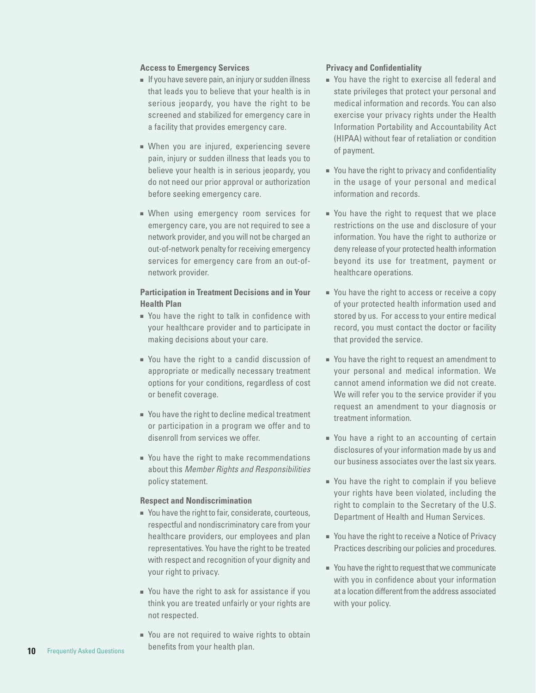#### **Access to Emergency Services**

- If you have severe pain, an injury or sudden illness that leads you to believe that your health is in serious jeopardy, you have the right to be screened and stabilized for emergency care in a facility that provides emergency care.
- When you are injured, experiencing severe pain, injury or sudden illness that leads you to believe your health is in serious jeopardy, you do not need our prior approval or authorization before seeking emergency care.
- When using emergency room services for emergency care, you are not required to see a network provider, and you will not be charged an out-of-network penalty for receiving emergency services for emergency care from an out-ofnetwork provider.

#### **Participation in Treatment Decisions and in Your Health Plan**

- You have the right to talk in confidence with your healthcare provider and to participate in making decisions about your care.
- You have the right to a candid discussion of appropriate or medically necessary treatment options for your conditions, regardless of cost or benefit coverage.
- You have the right to decline medical treatment or participation in a program we offer and to disenroll from services we offer.
- You have the right to make recommendations about this Member Rights and Responsibilities policy statement.

#### **Respect and Nondiscrimination**

- You have the right to fair, considerate, courteous, respectful and nondiscriminatory care from your healthcare providers, our employees and plan representatives. You have the right to be treated with respect and recognition of your dignity and your right to privacy.
- You have the right to ask for assistance if you think you are treated unfairly or your rights are not respected.
- You are not required to waive rights to obtain benefits from your health plan.

#### **Privacy and Confidentiality**

- You have the right to exercise all federal and state privileges that protect your personal and medical information and records. You can also exercise your privacy rights under the Health Information Portability and Accountability Act (HIPAA) without fear of retaliation or condition of payment.
- You have the right to privacy and confidentiality in the usage of your personal and medical information and records.
- You have the right to request that we place restrictions on the use and disclosure of your information. You have the right to authorize or deny release of your protected health information beyond its use for treatment, payment or healthcare operations.
- You have the right to access or receive a copy of your protected health information used and stored by us. For access to your entire medical record, you must contact the doctor or facility that provided the service.
- You have the right to request an amendment to your personal and medical information. We cannot amend information we did not create. We will refer you to the service provider if you request an amendment to your diagnosis or treatment information.
- You have a right to an accounting of certain disclosures of your information made by us and our business associates over the last six years.
- You have the right to complain if you believe your rights have been violated, including the right to complain to the Secretary of the U.S. Department of Health and Human Services.
- You have the right to receive a Notice of Privacy Practices describing our policies and procedures.
- You have the right to request that we communicate with you in confidence about your information at a location different from the address associated with your policy.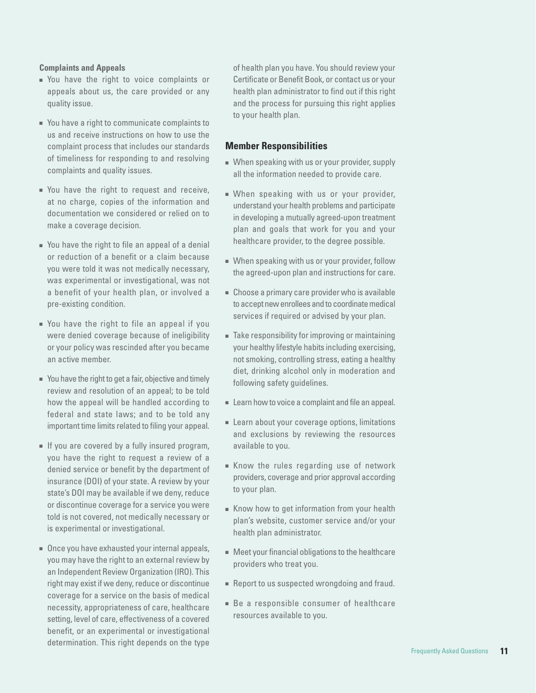#### **Complaints and Appeals**

- You have the right to voice complaints or appeals about us, the care provided or any quality issue.
- You have a right to communicate complaints to us and receive instructions on how to use the complaint process that includes our standards of timeliness for responding to and resolving complaints and quality issues.
- You have the right to request and receive, at no charge, copies of the information and documentation we considered or relied on to make a coverage decision.
- You have the right to file an appeal of a denial or reduction of a benefit or a claim because you were told it was not medically necessary, was experimental or investigational, was not a benefit of your health plan, or involved a pre-existing condition.
- You have the right to file an appeal if you were denied coverage because of ineligibility or your policy was rescinded after you became an active member.
- You have the right to get a fair, objective and timely review and resolution of an appeal; to be told how the appeal will be handled according to federal and state laws; and to be told any important time limits related to filing your appeal.
- If you are covered by a fully insured program, you have the right to request a review of a denied service or benefit by the department of insurance (DOI) of your state. A review by your state's DOI may be available if we deny, reduce or discontinue coverage for a service you were told is not covered, not medically necessary or is experimental or investigational.
- Once you have exhausted your internal appeals, you may have the right to an external review by an Independent Review Organization (IRO). This right may exist if we deny, reduce or discontinue coverage for a service on the basis of medical necessity, appropriateness of care, healthcare setting, level of care, effectiveness of a covered benefit, or an experimental or investigational determination. This right depends on the type

of health plan you have. You should review your Certificate or Benefit Book, or contact us or your health plan administrator to find out if this right and the process for pursuing this right applies to your health plan.

#### **Member Responsibilities**

- When speaking with us or your provider, supply all the information needed to provide care.
- When speaking with us or your provider, understand your health problems and participate in developing a mutually agreed-upon treatment plan and goals that work for you and your healthcare provider, to the degree possible.
- When speaking with us or your provider, follow the agreed-upon plan and instructions for care.
- Choose a primary care provider who is available to accept new enrollees and to coordinate medical services if required or advised by your plan.
- Take responsibility for improving or maintaining your healthy lifestyle habits including exercising, not smoking, controlling stress, eating a healthy diet, drinking alcohol only in moderation and following safety guidelines.
- Learn how to voice a complaint and file an appeal.
- Learn about your coverage options, limitations and exclusions by reviewing the resources available to you.
- Know the rules regarding use of network providers, coverage and prior approval according to your plan.
- Know how to get information from your health plan's website, customer service and/or your health plan administrator.
- Meet your financial obligations to the healthcare providers who treat you.
- Report to us suspected wrongdoing and fraud.
- Be a responsible consumer of healthcare resources available to you.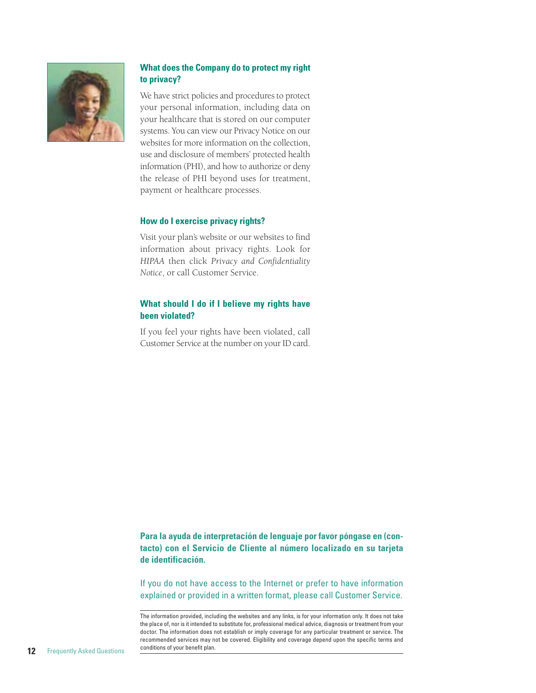

#### **What does the Company do to protect my right to privacy?**

We have strict policies and procedures to protect your personal information, including data on your healthcare that is stored on our computer systems. You can view our Privacy Notice on our websites for more information on the collection, use and disclosure of members' protected health information (PHI), and how to authorize or deny the release of PHI beyond uses for treatment, payment or healthcare processes.

#### **How do I exercise privacy rights?**

Visit your plan's website or our websites to find information about privacy rights. Look for *HIPAA* then click *Privacy and Confidentiality Notice*, or call Customer Service.

#### **What should I do if I believe my rights have been violated?**

If you feel your rights have been violated, call Customer Service at the number on your ID card.

**Para la ayuda de interpretación de lenguaje por favor póngase en (contacto) con el Servicio de Cliente al número localizado en su tarjeta de identificación.** 

If you do not have access to the Internet or prefer to have information explained or provided in a written format, please call Customer Service.

The information provided, including the websites and any links, is for your information only. It does not take the place of, nor is it intended to substitute for, professional medical advice, diagnosis or treatment from your doctor. The information does not establish or imply coverage for any particular treatment or service. The recommended services may not be covered. Eligibility and coverage depend upon the specific terms and conditions of your benefit plan.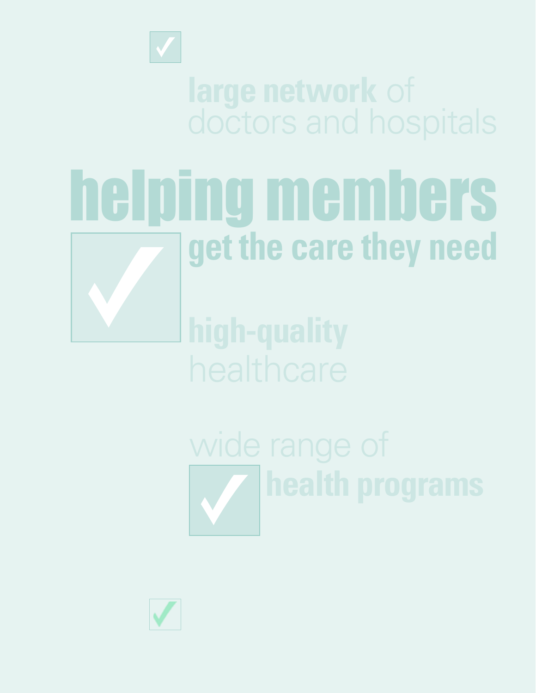

# doctors and hospitals

## helping members **get the care they need**

wide range of